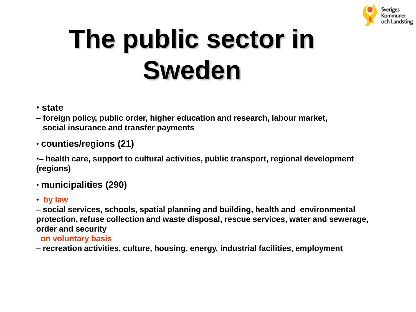

# **The public sector in Sweden**

- **state**
- **– foreign policy, public order, higher education and research, labour market, social insurance and transfer payments**
- **counties/regions (21)**

•**– health care, support to cultural activities, public transport, regional development (regions)**

- **municipalities (290)**
- • **by law**

**– social services, schools, spatial planning and building, health and environmental protection, refuse collection and waste disposal, rescue services, water and sewerage, order and security** 

- **on voluntary basis**
- **– recreation activities, culture, housing, energy, industrial facilities, employment**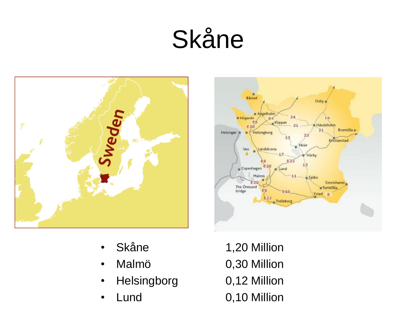## Skåne





- 
- Malmö 0,30 Million
- Helsingborg 0,12 Million
- 
- Skåne 1,20 Million
	-
	-
- Lund 0,10 Million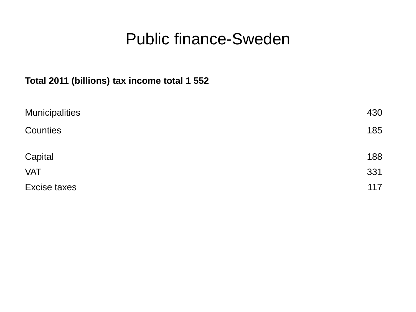#### Public finance-Sweden

#### **Total 2011 (billions) tax income total 1 552**

| <b>Municipalities</b> | 430 |
|-----------------------|-----|
| Counties              | 185 |
| Capital               | 188 |
| <b>VAT</b>            | 331 |
| Excise taxes          | 117 |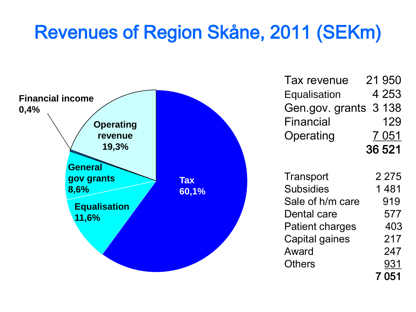### Revenues of Region Skåne, 2011 (SEKm)



| Tax revenue            | 21 950  |
|------------------------|---------|
| Equalisation           | 4 253   |
| Gen.gov. grants        | 3 1 3 8 |
| Financial              | 129     |
| Operating              | 7 0 5 1 |
| 36 521                 |         |
|                        |         |
| Transport              | 2 275   |
| <b>Subsidies</b>       | 1 481   |
| Sale of h/m care       | 919     |
| Dental care            | 577     |
| <b>Patient charges</b> | 403     |
| Capital gaines         | 217     |
| Award                  | 247     |
| Others                 | 931     |
|                        | 7 051   |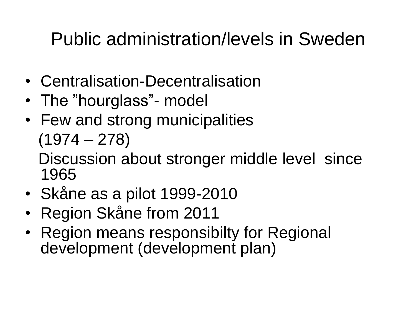### Public administration/levels in Sweden

- Centralisation-Decentralisation
- The "hourglass"- model
- Few and strong municipalities (1974 – 278) Discussion about stronger middle level since 1965
- Skåne as a pilot 1999-2010
- Region Skåne from 2011
- Region means responsibilty for Regional development (development plan)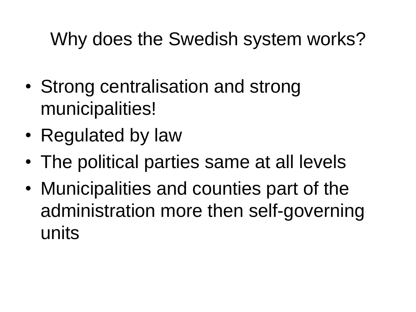#### Why does the Swedish system works?

- Strong centralisation and strong municipalities!
- Regulated by law
- The political parties same at all levels
- Municipalities and counties part of the administration more then self-governing units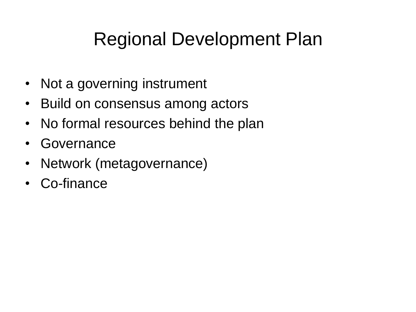### Regional Development Plan

- Not a governing instrument
- Build on consensus among actors
- No formal resources behind the plan
- Governance
- Network (metagovernance)
- Co-finance